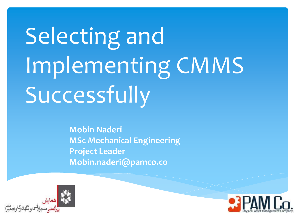# Selecting and Implementing CMMS Successfully

**Mobin Naderi MSc Mechanical Engineering Project Leader Mobin.naderi@pamco.co**



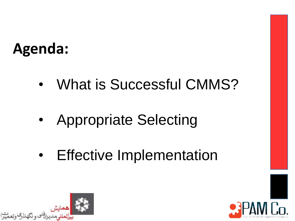## **Agenda:**

- What is Successful CMMS?
- Appropriate Selecting
- Effective Implementation



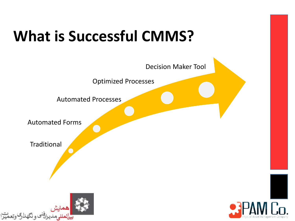## **What is Successful CMMS?**



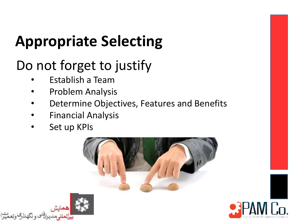## Do not forget to justify

- Establish a Team
- Problem Analysis
- Determine Objectives, Features and Benefits
- Financial Analysis
- Set up KPIs





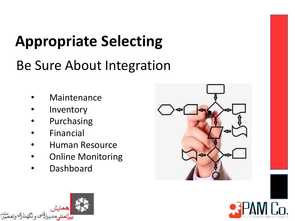Be Sure About Integration

- **Maintenance**
- **Inventory**
- **Purchasing**
- **Financial**
- Human Resource
- Online Monitoring
- Dashboard





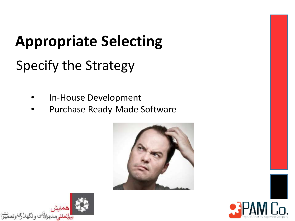Specify the Strategy

- In-House Development
- Purchase Ready-Made Software





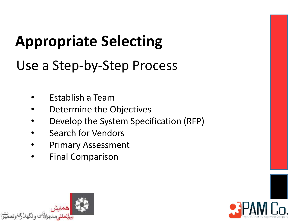Use a Step-by-Step Process

- Establish a Team
- Determine the Objectives
- Develop the System Specification (RFP)
- Search for Vendors
- Primary Assessment
- Final Comparison



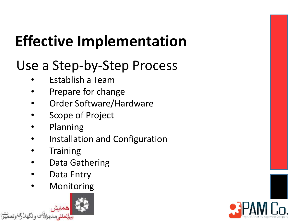### Use a Step-by-Step Process

- Establish a Team
- Prepare for change
- Order Software/Hardware
- Scope of Project
- Planning
- Installation and Configuration
- **Training**
- Data Gathering
- Data Entry
- **Monitoring**



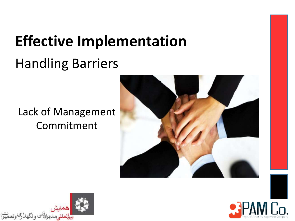## Handling Barriers

### Lack of Management Commitment





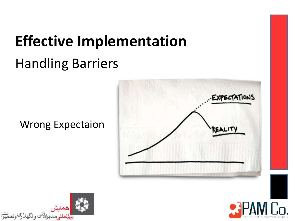# **Effective Implementation** Handling Barriers

#### Wrong Expectaion





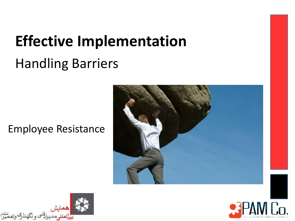### Handling Barriers

#### Employee Resistance





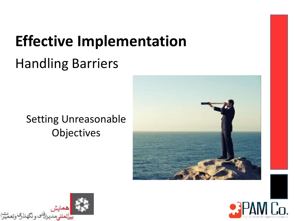## Handling Barriers

### Setting Unreasonable **Objectives**





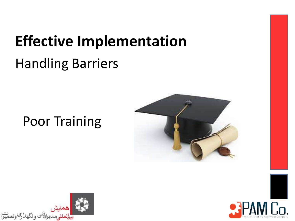### Handling Barriers

### Poor Training





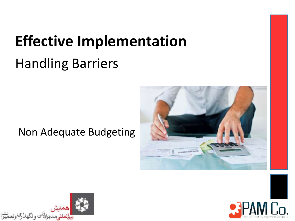### Handling Barriers

### Non Adequate Budgeting